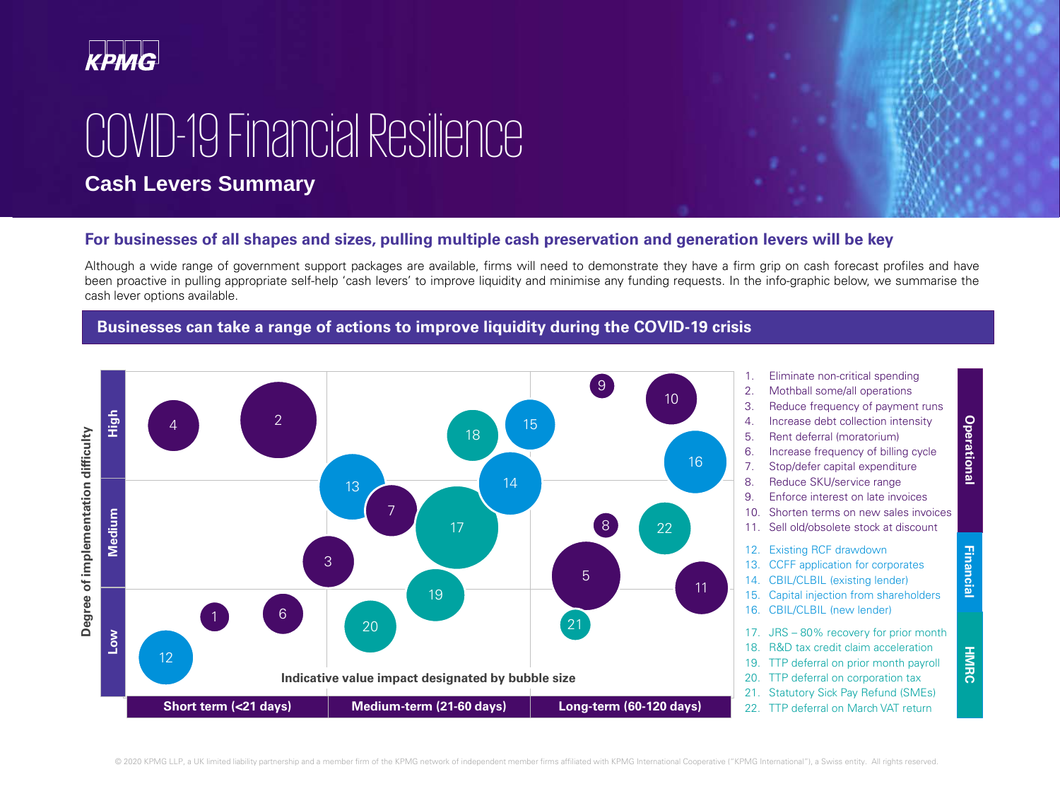

# COVID-19 Financial Resilience

### **Cash Levers Summary**

#### **For businesses of all shapes and sizes, pulling multiple cash preservation and generation levers will be key**

Although a wide range of government support packages are available, firms will need to demonstrate they have a firm grip on cash forecast profiles and have been proactive in pulling appropriate self-help 'cash levers' to improve liquidity and minimise any funding requests. In the info-graphic below, we summarise the cash lever options available.

> 1. Eliminate non-critical spending 2. Mothball some/all operations 3. Reduce frequency of payment runs 4. Increase debt collection intensity 5. Rent deferral (moratorium) 6. Increase frequency of billing cycle 7. Stop/defer capital expenditure 8. Reduce SKU/service range 9. Enforce interest on late invoices 10. Shorten terms on new sales invoices 11. Sell old/obsolete stock at discount

12. Existing RCF drawdown 13. CCFF application for corporates 14. CBIL/CLBIL (existing lender) 15. Capital injection from shareholders 16. CBIL/CLBIL (new lender)

17. JRS – 80% recovery for prior month 18. R&D tax credit claim acceleration 19. TTP deferral on prior month payroll 20. TTP deferral on corporation tax 21. Statutory Sick Pay Refund (SMEs) 22. TTP deferral on March VAT return





**HMRC**





#### **Businesses can take a range of actions to improve liquidity during the COVID-19 crisis**